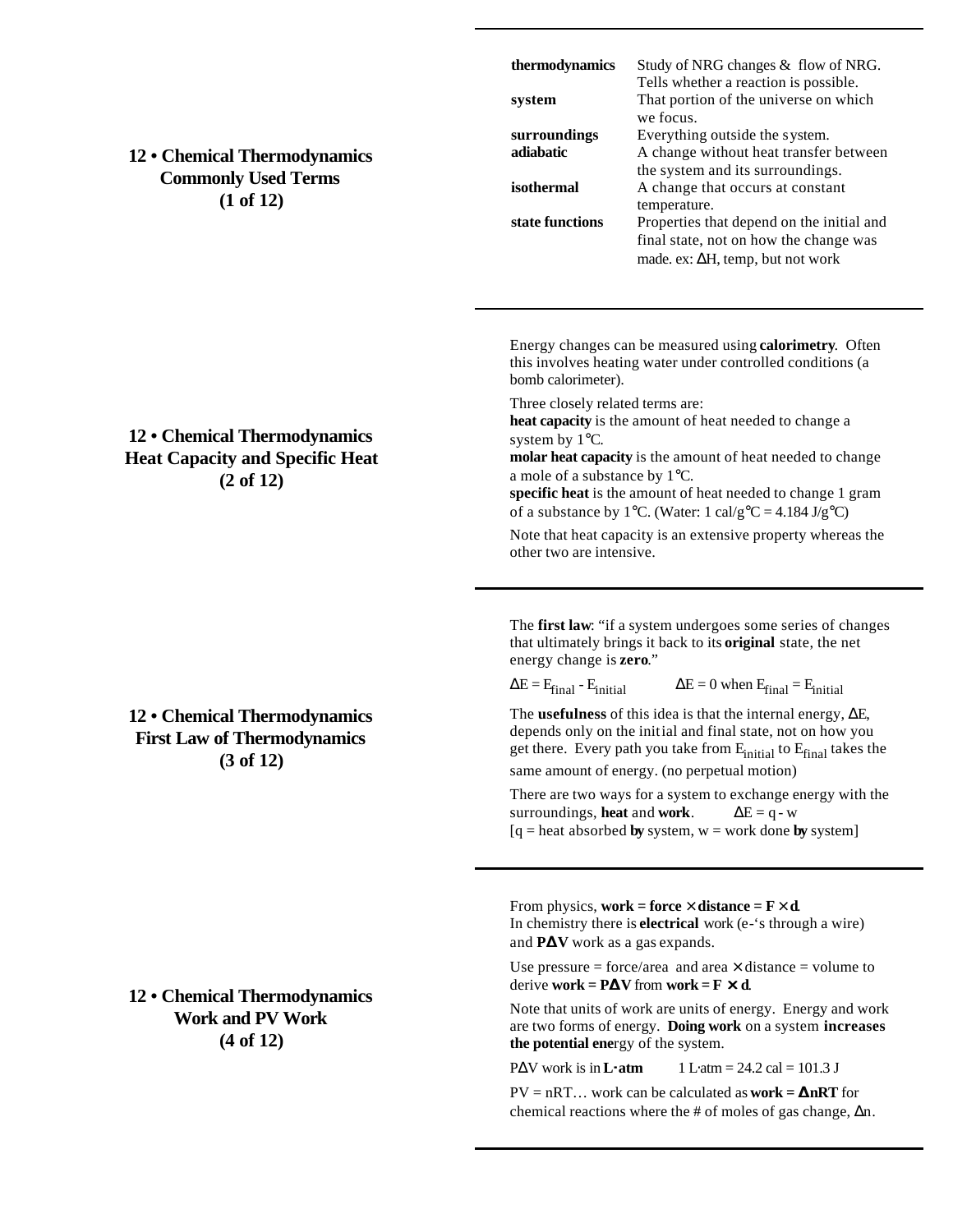| 12 • Chemical Thermodynamics<br><b>Commonly Used Terms</b><br>(1 of 12)                        | thermodynamics<br>system<br>surroundings<br>adiabatic<br>isothermal<br>state functions                                                                                                                                                                                                                                                                                                                                                                                                                                                                                                                                                                                                                                  | Study of NRG changes & flow of NRG.<br>Tells whether a reaction is possible.<br>That portion of the universe on which<br>we focus.<br>Everything outside the system.<br>A change without heat transfer between<br>the system and its surroundings.<br>A change that occurs at constant<br>temperature.<br>Properties that depend on the initial and<br>final state, not on how the change was<br>made. ex: $\Delta H$ , temp, but not work |
|------------------------------------------------------------------------------------------------|-------------------------------------------------------------------------------------------------------------------------------------------------------------------------------------------------------------------------------------------------------------------------------------------------------------------------------------------------------------------------------------------------------------------------------------------------------------------------------------------------------------------------------------------------------------------------------------------------------------------------------------------------------------------------------------------------------------------------|--------------------------------------------------------------------------------------------------------------------------------------------------------------------------------------------------------------------------------------------------------------------------------------------------------------------------------------------------------------------------------------------------------------------------------------------|
| 12 • Chemical Thermodynamics<br><b>Heat Capacity and Specific Heat</b><br>$(2 \text{ of } 12)$ | Energy changes can be measured using calorimetry. Often<br>this involves heating water under controlled conditions (a<br>bomb calorimeter).<br>Three closely related terms are:<br>heat capacity is the amount of heat needed to change a<br>system by 1°C.<br>molar heat capacity is the amount of heat needed to change<br>a mole of a substance by 1°C.<br>specific heat is the amount of heat needed to change 1 gram<br>of a substance by 1°C. (Water: 1 cal/g°C = 4.184 J/g°C)<br>Note that heat capacity is an extensive property whereas the<br>other two are intensive.                                                                                                                                        |                                                                                                                                                                                                                                                                                                                                                                                                                                            |
| 12 • Chemical Thermodynamics<br><b>First Law of Thermodynamics</b><br>$(3 \text{ of } 12)$     | The first law: "if a system undergoes some series of changes<br>that ultimately brings it back to its original state, the net<br>energy change is <b>zero.</b> "<br>$\Delta E = 0$ when $E_{final} = E_{initial}$<br>$\Delta E = E_{final} - E_{initial}$<br>The <b>usefulness</b> of this idea is that the internal energy, $\Delta E$ ,<br>depends only on the initial and final state, not on how you<br>get there. Every path you take from $E_{initial}$ to $E_{final}$ takes the<br>same amount of energy. (no perpetual motion)<br>There are two ways for a system to exchange energy with the<br>surroundings, heat and work.<br>$\Delta E = q - w$<br>$[q = heat absorbed by system, w = work done by system]$ |                                                                                                                                                                                                                                                                                                                                                                                                                                            |
| 12 • Chemical Thermodynamics<br><b>Work and PV Work</b><br>(4 of 12)                           | From physics, work = force $\times$ distance = $\mathbf{F} \times \mathbf{d}$ .<br>In chemistry there is <b>electrical</b> work (e-'s through a wire)<br>and PDV work as a gas expands.<br>Use pressure = force/area and area $\times$ distance = volume to<br>derive work = $\bf{PDV}$ from work = $\bf{F} \cdot \bf{d}$ .<br>Note that units of work are units of energy. Energy and work<br>are two forms of energy. Doing work on a system increases<br>the potential energy of the system.<br>$P\Delta V$ work is in <b>Leatm</b><br>$1$ L atm = 24.2 cal = 101.3 J<br>$PV = nRT$ work can be calculated as <b>work = DnRT</b> for<br>chemical reactions where the # of moles of gas change, $\Delta n$ .          |                                                                                                                                                                                                                                                                                                                                                                                                                                            |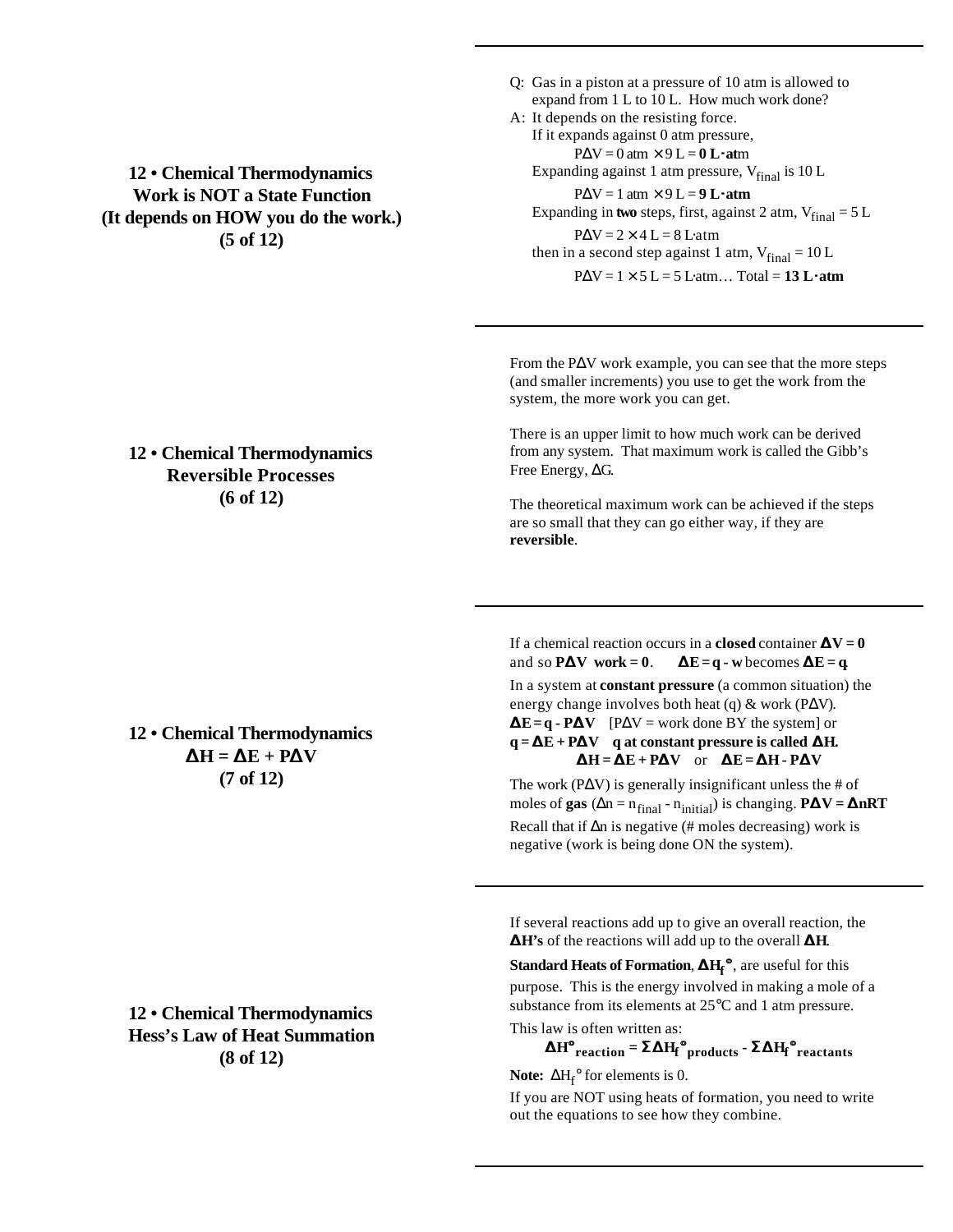## **12 • Chemical Thermodynamics Work is NOT a State Function (It depends on HOW you do the work.) (5 of 12)**

## Q: Gas in a piston at a pressure of 10 atm is allowed to expand from 1 L to 10 L. How much work done?

A: It depends on the resisting force. If it expands against 0 atm pressure, PΔV = 0 atm × 9 L = **0 L×at**m Expanding against 1 atm pressure,  $V_{final}$  is 10 L

PΔV = 1 atm × 9 L = **9 L×atm** Expanding in **two** steps, first, against 2 atm,  $V_{final} = 5 L$ 

 $P\Delta V = 2 \times 4$  L = 8 L atm then in a second step against 1 atm,  $V_{final} = 10 L$ 

 $PAV = 1 \times 5$  L = 5 L atm... Total = 13 Lxatm

From the PΔV work example, you can see that the more steps (and smaller increments) you use to get the work from the system, the more work you can get.

There is an upper limit to how much work can be derived from any system. That maximum work is called the Gibb's Free Energy, ΔG.

The theoretical maximum work can be achieved if the steps are so small that they can go either way, if they are **reversible**.

If a chemical reaction occurs in a **closed** container  $\mathbf{D}\mathbf{V} = \mathbf{0}$ and so **PDV** work = 0. **DE** = q - w becomes **DE** = q. In a system at **constant pressure** (a common situation) the energy change involves both heat (q) & work (PΔV). **DE** =  $q \cdot P$ **DV** [P $\Delta V$  = work done BY the system] or  $q = \mathbf{DE} + \mathbf{P}\mathbf{D}\mathbf{V}$  q at constant pressure is called  $\mathbf{D}\mathbf{H}$ .  $DF = DE + PDV$  or  $DE = DH - PDV$ 

The work ( $P\Delta V$ ) is generally insignificant unless the # of moles of **gas** ( $\Delta n = n_{\text{final}} - n_{\text{initial}}$ ) is changing. **PDV = DnRT** Recall that if  $\Delta n$  is negative (# moles decreasing) work is negative (work is being done ON the system).

If several reactions add up to give an overall reaction, the **DH's** of the reactions will add up to the overall **DH**.

**Standard Heats of Formation**, **DH<sup>f</sup> °**, are useful for this purpose. This is the energy involved in making a mole of a substance from its elements at 25°C and 1 atm pressure.

This law is often written as:

$$
\text{DH}^{\bullet}_{\text{reaction}} = \text{S} \text{DH}_{\text{f}}^{\bullet}_{\text{products}} \cdot \text{S} \text{DH}_{\text{f}}^{\bullet}_{\text{reactants}}
$$

**Note:**  $\Delta H_f^{\circ}$  for elements is 0.

If you are NOT using heats of formation, you need to write out the equations to see how they combine.

## **12 • Chemical Thermodynamics Reversible Processes (6 of 12)**

**12 • Chemical Thermodynamics DH = DE + PDV (7 of 12)**

**12 • Chemical Thermodynamics Hess's Law of Heat Summation (8 of 12)**